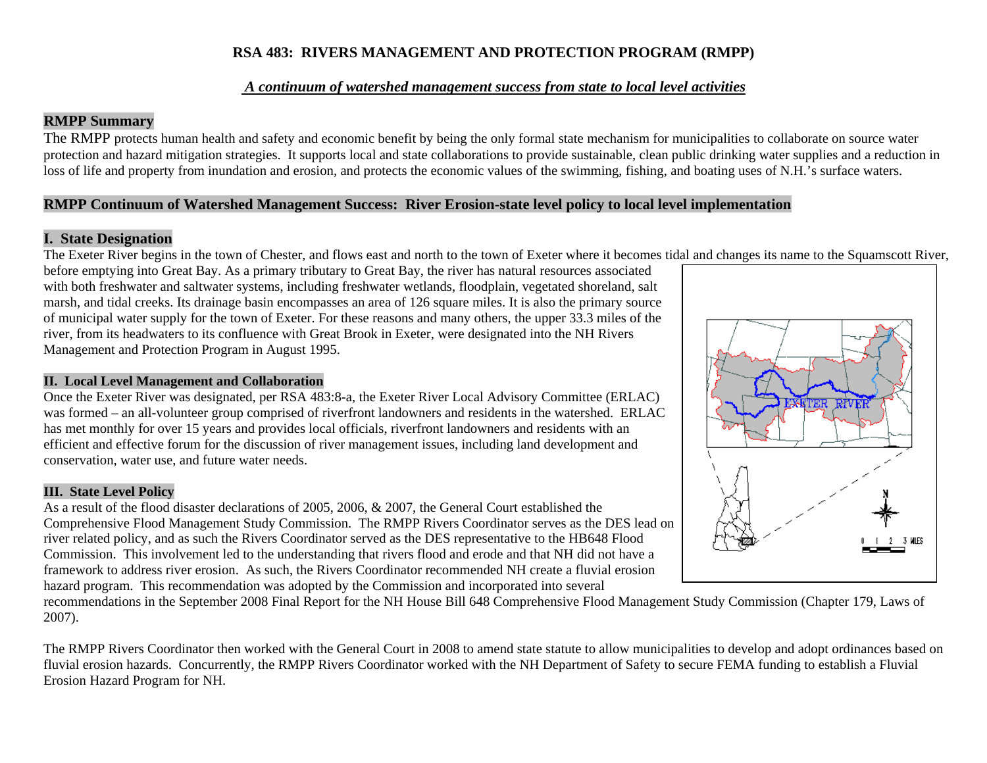### **RSA 483: RIVERS MANAGEMENT AND PROTECTION PROGRAM (RMPP)**

#### *A continuum of watershed management success from state to local level activities*

### **RMPP Summary**

The RMPP protects human health and safety and economic benefit by being the only formal state mechanism for municipalities to collaborate on source water protection and hazard mitigation strategies. It supports local and state collaborations to provide sustainable, clean public drinking water supplies and a reduction in loss of life and property from inundation and erosion, and protects the economic values of the swimming, fishing, and boating uses of N.H.'s surface waters.

### **RMPP Continuum of Watershed Management Success: River Erosion-state level policy to local level implementation**

### **I. State Designation**

The Exeter River begins in the town of Chester, and flows east and north to the town of Exeter where it becomes tidal and changes its name to the Squamscott River,

before emptying into Great Bay. As a primary tributary to Great Bay, the river has natural resources associated with both freshwater and saltwater systems, including freshwater wetlands, floodplain, vegetated shoreland, salt marsh, and tidal creeks. Its drainage basin encompasses an area of 126 square miles. It is also the primary source of municipal water supply for the town of Exeter. For these reasons and many others, the upper 33.3 miles of the river, from its headwaters to its confluence with Great Brook in Exeter, were designated into the NH Rivers Management and Protection Program in August 1995.

#### **II. Local Level Management and Collaboration**

Once the Exeter River was designated, per RSA 483:8-a, the Exeter River Local Advisory Committee (ERLAC) was formed – an all-volunteer group comprised of riverfront landowners and residents in the watershed. ERLAC has met monthly for over 15 years and provides local officials, riverfront landowners and residents with an efficient and effective forum for the discussion of river management issues, including land development and conservation, water use, and future water needs.

#### **III. State Level Policy**

As a result of the flood disaster declarations of 2005, 2006, & 2007, the General Court established the Comprehensive Flood Management Study Commission. The RMPP Rivers Coordinator serves as the DES lead on river related policy, and as such the Rivers Coordinator served as the DES representative to the HB648 Flood Commission. This involvement led to the understanding that rivers flood and erode and that NH did not have a framework to address river erosion. As such, the Rivers Coordinator recommended NH create a fluvial erosion hazard program. This recommendation was adopted by the Commission and incorporated into several

recommendations in the September 2008 Final Report for the NH House Bill 648 Comprehensive Flood Management Study Commission (Chapter 179, Laws of 2007).

The RMPP Rivers Coordinator then worked with the General Court in 2008 to amend state statute to allow municipalities to develop and adopt ordinances based on fluvial erosion hazards. Concurrently, the RMPP Rivers Coordinator worked with the NH Department of Safety to secure FEMA funding to establish a Fluvial Erosion Hazard Program for NH.